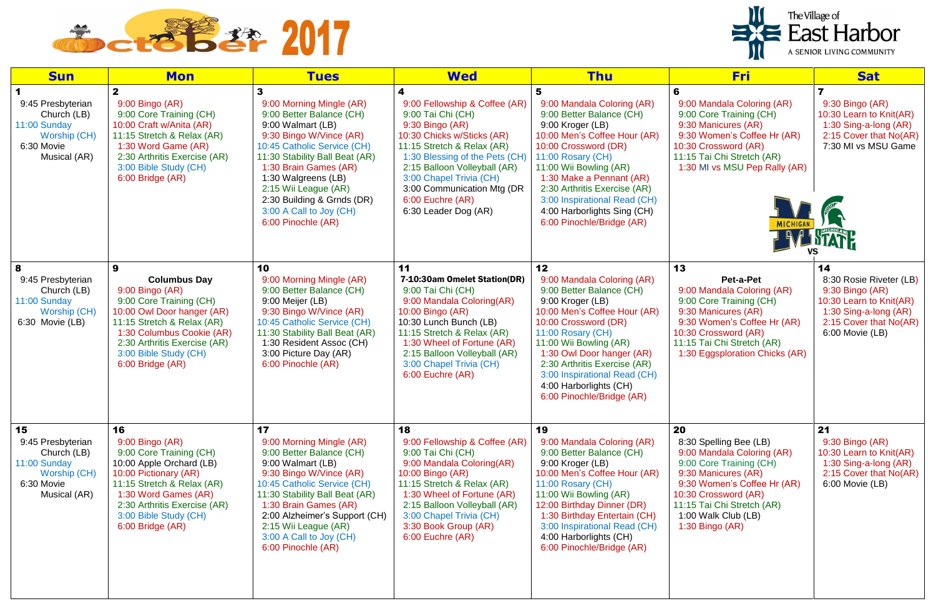



| <b>Sun</b>                                                                                           | <b>Mon</b>                                                                                                                                                                                                                                   | <b>Tues</b>                                                                                                                                                                                                                                                                                                                  | <b>Wed</b>                                                                                                                                                                                                                                                                                               | <b>Thu</b>                                                                                                                                                                                                                                                                                                                                  | <b>Fri</b>                                                                                                                                                                                                                                  | <b>Sat</b>                                                                                                                                        |
|------------------------------------------------------------------------------------------------------|----------------------------------------------------------------------------------------------------------------------------------------------------------------------------------------------------------------------------------------------|------------------------------------------------------------------------------------------------------------------------------------------------------------------------------------------------------------------------------------------------------------------------------------------------------------------------------|----------------------------------------------------------------------------------------------------------------------------------------------------------------------------------------------------------------------------------------------------------------------------------------------------------|---------------------------------------------------------------------------------------------------------------------------------------------------------------------------------------------------------------------------------------------------------------------------------------------------------------------------------------------|---------------------------------------------------------------------------------------------------------------------------------------------------------------------------------------------------------------------------------------------|---------------------------------------------------------------------------------------------------------------------------------------------------|
| 9:45 Presbyterian<br>Church (LB)<br>11:00 Sunday<br>Worship (CH)<br>6:30 Movie<br>Musical (AR)       | $\mathbf{2}$<br>9:00 Bingo (AR)<br>9:00 Core Training (CH)<br>10:00 Craft w/Anita (AR)<br>11:15 Stretch & Relax (AR)<br>1:30 Word Game (AR)<br>2:30 Arthritis Exercise (AR)<br>3:00 Bible Study (CH)<br>6:00 Bridge (AR)                     | 9:00 Morning Mingle (AR)<br>9:00 Better Balance (CH)<br>9:00 Walmart (LB)<br>9:30 Bingo W/Vince (AR)<br>10:45 Catholic Service (CH)<br>11:30 Stability Ball Beat (AR)<br>1:30 Brain Games (AR)<br>1:30 Walgreens (LB)<br>2:15 Wii League (AR)<br>2:30 Building & Grnds (DR)<br>3:00 A Call to Joy (CH)<br>6:00 Pinochle (AR) | 9:00 Fellowship & Coffee (AR)<br>9:00 Tai Chi (CH)<br>9:30 Bingo (AR)<br>10:30 Chicks w/Sticks (AR)<br>11:15 Stretch & Relax (AR)<br>1:30 Blessing of the Pets (CH)<br>2:15 Balloon Volleyball (AR)<br>3:00 Chapel Trivia (CH)<br>3:00 Communication Mtg (DR<br>6:00 Euchre (AR)<br>6:30 Leader Dog (AR) | 9:00 Mandala Coloring (AR)<br>9:00 Better Balance (CH)<br>9:00 Kroger (LB)<br>10:00 Men's Coffee Hour (AR)<br>10:00 Crossword (DR)<br>11:00 Rosary (CH)<br>11:00 Wii Bowling (AR)<br>1:30 Make a Pennant (AR)<br>2:30 Arthritis Exercise (AR)<br>3:00 Inspirational Read (CH)<br>4:00 Harborlights Sing (CH)<br>6:00 Pinochle/Bridge (AR)   | 9:00 Mandala Coloring (AR)<br>9:00 Core Training (CH)<br>9:30 Manicures (AR)<br>9:30 Women's Coffee Hr (AR)<br>10:30 Crossword (AR)<br>11:15 Tai Chi Stretch (AR)<br>1:30 MI vs MSU Pep Rally (AR)                                          | 9:30 Bingo (AR)<br>10:30 Learn to Knit(AR)<br>1:30 Sing-a-long (AR)<br>2:15 Cover that No(AR)<br>7:30 MI vs MSU Game                              |
| 8<br>9:45 Presbyterian<br>Church (LB)<br>11:00 Sunday<br>Worship (CH)<br>6:30 Movie (LB)             | 9<br><b>Columbus Day</b><br>9:00 Bingo (AR)<br>9:00 Core Training (CH)<br>10:00 Owl Door hanger (AR)<br>11:15 Stretch & Relax (AR)<br>1:30 Columbus Cookie (AR)<br>2:30 Arthritis Exercise (AR)<br>3:00 Bible Study (CH)<br>6:00 Bridge (AR) | 10<br>9:00 Morning Mingle (AR)<br>9:00 Better Balance (CH)<br>9:00 Meijer (LB)<br>9:30 Bingo W/Vince (AR)<br>10:45 Catholic Service (CH)<br>11:30 Stability Ball Beat (AR)<br>1:30 Resident Assoc (CH)<br>3:00 Picture Day (AR)<br>6:00 Pinochle (AR)                                                                        | 11<br>7-10:30am Omelet Station(DR)<br>9:00 Tai Chi (CH)<br>9:00 Mandala Coloring(AR)<br>10:00 Bingo (AR)<br>10:30 Lunch Bunch (LB)<br>11:15 Stretch & Relax (AR)<br>1:30 Wheel of Fortune (AR)<br>2:15 Balloon Volleyball (AR)<br>3:00 Chapel Trivia (CH)<br>6:00 Euchre (AR)                            | 12<br>9:00 Mandala Coloring (AR)<br>9:00 Better Balance (CH)<br>9:00 Kroger (LB)<br>10:00 Men's Coffee Hour (AR)<br>10:00 Crossword (DR)<br>11:00 Rosary (CH)<br>11:00 Wii Bowling (AR)<br>1:30 Owl Door hanger (AR)<br>2:30 Arthritis Exercise (AR)<br>3:00 Inspirational Read (CH)<br>4:00 Harborlights (CH)<br>6:00 Pinochle/Bridge (AR) | 13<br>Pet-a-Pet<br>9:00 Mandala Coloring (AR)<br>9:00 Core Training (CH)<br>9:30 Manicures (AR)<br>9:30 Women's Coffee Hr (AR)<br>10:30 Crossword (AR)<br>11:15 Tai Chi Stretch (AR)<br>1:30 Eggsploration Chicks (AR)                      | 14<br>8:30 Rosie Riveter (LB)<br>9:30 Bingo (AR)<br>10:30 Learn to Knit(AR)<br>1:30 Sing-a-long (AR)<br>2:15 Cover that No(AR)<br>6:00 Movie (LB) |
| 15<br>9:45 Presbyterian<br>Church (LB)<br>11:00 Sunday<br>Worship (CH)<br>6:30 Movie<br>Musical (AR) | 16<br>9:00 Bingo (AR)<br>9:00 Core Training (CH)<br>10:00 Apple Orchard (LB)<br>10:00 Pictionary (AR)<br>11:15 Stretch & Relax (AR)<br>1:30 Word Games (AR)<br>2:30 Arthritis Exercise (AR)<br>3:00 Bible Study (CH)<br>6:00 Bridge (AR)     | 17<br>9:00 Morning Mingle (AR)<br>9:00 Better Balance (CH)<br>9:00 Walmart (LB)<br>9:30 Bingo W/Vince (AR)<br>10:45 Catholic Service (CH)<br>11:30 Stability Ball Beat (AR)<br>1:30 Brain Games (AR)<br>2:00 Alzheimer's Support (CH)<br>2:15 Wii League (AR)<br>3:00 A Call to Joy (CH)<br>6:00 Pinochle (AR)               | 18<br>9:00 Fellowship & Coffee (AR)<br>9:00 Tai Chi (CH)<br>9:00 Mandala Coloring(AR)<br>10:00 Bingo (AR)<br>11:15 Stretch & Relax (AR)<br>1:30 Wheel of Fortune (AR)<br>2:15 Balloon Volleyball (AR)<br>3:00 Chapel Trivia (CH)<br>3:30 Book Group (AR)<br>6:00 Euchre (AR)                             | 19<br>9:00 Mandala Coloring (AR)<br>9:00 Better Balance (CH)<br>9:00 Kroger (LB)<br>10:00 Men's Coffee Hour (AR)<br>11:00 Rosary (CH)<br>11:00 Wii Bowling (AR)<br>12:00 Birthday Dinner (DR)<br>1:30 Birthday Entertain (CH)<br>3:00 Inspirational Read (CH)<br>4:00 Harborlights (CH)<br>6:00 Pinochle/Bridge (AR)                        | 20<br>8:30 Spelling Bee (LB)<br>9:00 Mandala Coloring (AR)<br>9:00 Core Training (CH)<br>9:30 Manicures (AR)<br>9:30 Women's Coffee Hr (AR)<br>10:30 Crossword (AR)<br>11:15 Tai Chi Stretch (AR)<br>1:00 Walk Club (LB)<br>1:30 Bingo (AR) | 21<br>9:30 Bingo (AR)<br>10:30 Learn to Knit(AR)<br>1:30 Sing-a-long (AR)<br>2:15 Cover that No(AR)<br>6:00 Movie (LB)                            |